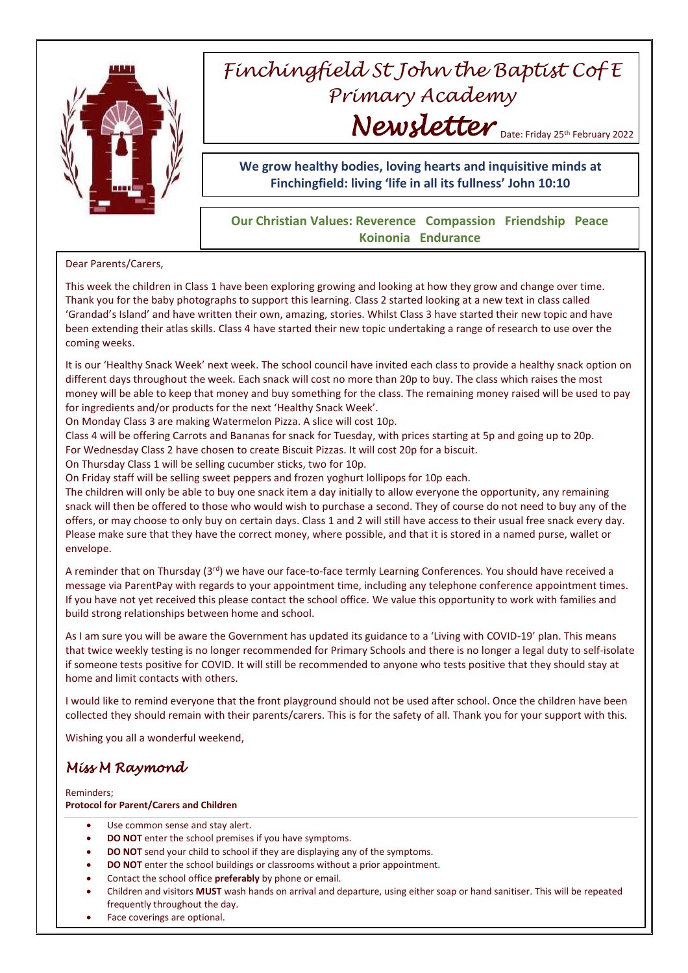

# *Finchingfield St John the Baptist Cof E Primary Academy* Newsletter Date: Friday 25th February 2022

**We grow healthy bodies, loving hearts and inquisitive minds at Finchingfield: living 'life in all its fullness' John 10:10**

### **Our Christian Values: Reverence Compassion Friendship Peace Koinonia Endurance**

#### Dear Parents/Carers,

This week the children in Class 1 have been exploring growing and looking at how they grow and change over time. Thank you for the baby photographs to support this learning. Class 2 started looking at a new text in class called 'Grandad's Island' and have written their own, amazing, stories. Whilst Class 3 have started their new topic and have been extending their atlas skills. Class 4 have started their new topic undertaking a range of research to use over the coming weeks.

It is our 'Healthy Snack Week' next week. The school council have invited each class to provide a healthy snack option on different days throughout the week. Each snack will cost no more than 20p to buy. The class which raises the most money will be able to keep that money and buy something for the class. The remaining money raised will be used to pay for ingredients and/or products for the next 'Healthy Snack Week'.

On Monday Class 3 are making Watermelon Pizza. A slice will cost 10p.

Class 4 will be offering Carrots and Bananas for snack for Tuesday, with prices starting at 5p and going up to 20p.

For Wednesday Class 2 have chosen to create Biscuit Pizzas. It will cost 20p for a biscuit.

On Thursday Class 1 will be selling cucumber sticks, two for 10p.

On Friday staff will be selling sweet peppers and frozen yoghurt lollipops for 10p each.

The children will only be able to buy one snack item a day initially to allow everyone the opportunity, any remaining snack will then be offered to those who would wish to purchase a second. They of course do not need to buy any of the offers, or may choose to only buy on certain days. Class 1 and 2 will still have access to their usual free snack every day. Please make sure that they have the correct money, where possible, and that it is stored in a named purse, wallet or envelope.

A reminder that on Thursday ( $3^{rd}$ ) we have our face-to-face termly Learning Conferences. You should have received a message via ParentPay with regards to your appointment time, including any telephone conference appointment times. If you have not yet received this please contact the school office. We value this opportunity to work with families and build strong relationships between home and school.

As I am sure you will be aware the Government has updated its guidance to a 'Living with COVID-19' plan. This means that twice weekly testing is no longer recommended for Primary Schools and there is no longer a legal duty to self-isolate if someone tests positive for COVID. It will still be recommended to anyone who tests positive that they should stay at home and limit contacts with others.

I would like to remind everyone that the front playground should not be used after school. Once the children have been collected they should remain with their parents/carers. This is for the safety of all. Thank you for your support with this.

Wishing you all a wonderful weekend,

## *Miss M Raymond*

Reminders;

#### **Protocol for Parent/Carers and Children**

- Use common sense and stay alert.
- **DO NOT** enter the school premises if you have symptoms.
- **DO NOT** send your child to school if they are displaying any of the symptoms.
- **DO NOT** enter the school buildings or classrooms without a prior appointment.
- Contact the school office **preferably** by phone or email.
- Children and visitors **MUST** wash hands on arrival and departure, using either soap or hand sanitiser. This will be repeated frequently throughout the day.
- Face coverings are optional.